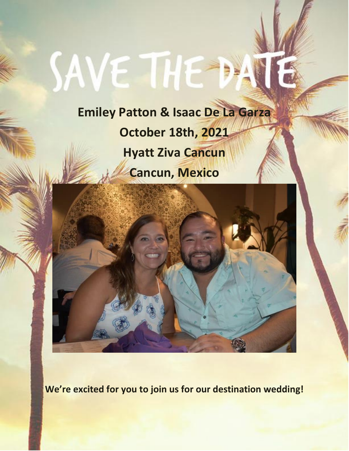# SAVE THE

**Emiley Patton & Isaac De La Garza October 18th, 2021 Hyatt Ziva Cancun Cancun, Mexico**



**We're excited for you to join us for our destination wedding!**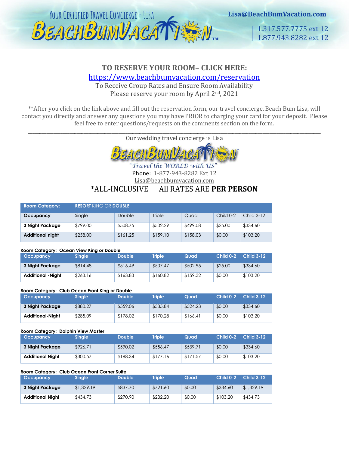

# **TO RESERVE YOUR ROOM– CLICK HERE:**

<https://www.beachbumvacation.com/reservation>

To Receive Group Rates and Ensure Room Availability Please reserve your room by April 2<sup>nd</sup>, 2021

\*\*After you click on the link above and fill out the reservation form, our travel concierge, Beach Bum Lisa, will contact you directly and answer any questions you may have PRIOR to charging your card for your deposit. Please feel free to enter questions/requests on the comments section on the form.

\_\_\_\_\_\_\_\_\_\_\_\_\_\_\_\_\_\_\_\_\_\_\_\_\_\_\_\_\_\_\_\_\_\_\_\_\_\_\_\_\_\_\_\_\_\_\_\_\_\_\_\_\_\_\_\_\_\_\_\_\_\_\_\_\_\_\_\_\_\_\_\_\_\_\_\_\_\_\_\_\_\_\_\_\_\_\_\_\_\_\_\_\_\_\_\_\_\_\_\_\_\_\_\_\_\_\_\_\_\_\_\_\_\_\_\_\_\_\_\_\_\_\_\_\_\_ Our wedding travel concierge is Lisa



Travel the WORLD with US Phone: 1-877-943-8282 Ext 12

Lisa@beachbumvacation.com

## \*ALL-INCLUSIVE All RATES ARE **PER PERSON**

| <b>Room Category:</b>   | RESORT KING OR DOUBLE I |          |          |          |           |            |  |  |
|-------------------------|-------------------------|----------|----------|----------|-----------|------------|--|--|
| Occupancy               | Single                  | Double   | Triple   | Quad     | Child 0-2 | Child 3-12 |  |  |
| 3 Night Package         | \$799.00                | \$508.75 | \$502.29 | \$499.08 | \$25.00   | \$334.60   |  |  |
| <b>Additional night</b> | \$258.00                | \$161.25 | \$159.10 | \$158.03 | \$0.00    | \$103.20   |  |  |

#### **Room Category: Ocean View King or Double**

| <b>Occupancy</b>         | <b>Single</b> | <b>Double</b> | <b>Triple</b> | Quad     | Child 0-2 | <b>Child 3-12</b> |
|--------------------------|---------------|---------------|---------------|----------|-----------|-------------------|
| 3 Night Package          | \$814.48      | \$516.49      | \$507.47      | \$502.95 | \$25.00   | \$334.60          |
| <b>Additional -Night</b> | \$263.16      | \$163.83      | \$160.82      | \$159.32 | \$0.00    | \$103.20          |

#### **Room Category: Club Ocean Front King or Double**

| <b>Occupancy</b> | <b>Single</b> | <b>Double</b> | <b>Triple</b> | Quad     | $Child 0-2$ | <b>Child 3-12</b> |
|------------------|---------------|---------------|---------------|----------|-------------|-------------------|
| 3 Night Package  | \$880.27      | \$559.06      | \$535.84      | \$524.23 | \$0.00      | \$334.60          |
| Additional-Night | \$285.09      | \$178.02      | \$170.28      | \$166.41 | \$0.00      | \$103.20          |

#### **Room Category: Dolphin View Master**

| <b>Occupancy</b>        | Single,  | <b>Double</b> | Triple   | Quad     | Child 0-2 | <b>Child 3-12</b> |
|-------------------------|----------|---------------|----------|----------|-----------|-------------------|
| 3 Night Package         | \$926.71 | \$590.02      | \$556.47 | \$539.71 | \$0.00    | \$334.60          |
| <b>Additional Night</b> | \$300.57 | \$188.34      | \$177.16 | \$171.57 | \$0.00    | \$103.20          |

#### **Room Category: Club Ocean Front Corner Suite**

| <b>Occupancy</b>        | <b>Single</b> | <b>Double</b> | <b>Triple</b> | Quad   | Child 0-2 | <b>Child 3-12</b> |
|-------------------------|---------------|---------------|---------------|--------|-----------|-------------------|
| 3 Night Package         | \$1,329,19    | \$837.70      | \$721.60      | \$0.00 | \$334.60  | \$1,329.19        |
| <b>Additional Night</b> | \$434.73      | \$270.90      | \$232.20      | \$0.00 | \$103.20  | \$434.73          |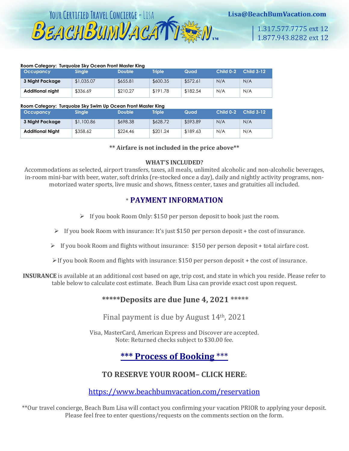

1.317.577.7775 ext 12 1.877.943.8282 ext 12

#### **Room Category: Turquoize Sky Ocean Front Master King**

| <b>Occupancy</b> | <b>Single</b> | <b>Double</b> | <b>Triple</b> | Quad     | Child 0-2 | <b>Child 3-12</b> |
|------------------|---------------|---------------|---------------|----------|-----------|-------------------|
| 3 Night Package  | \$1,035.07    | \$655.81      | \$600.35      | \$572.61 | N/A       | N/A               |
| Additional night | \$336.69      | \$210.27      | \$191.78      | \$182.54 | N/A       | N/A               |

#### **Room Category: Turquoize Sky Swim Up Ocean Front Master King**

| <b>Occupancy</b>        | <b>Single</b> | <b>Double</b> | <b>Triple</b> | Quad     | Child 0-2 | <b>Child 3-12</b> |
|-------------------------|---------------|---------------|---------------|----------|-----------|-------------------|
| 3 Night Package         | \$1,100.86    | \$698.38      | \$628.72      | \$593.89 | N/A       | N/A               |
| <b>Additional Night</b> | \$358.62      | \$224.46      | \$201.24      | \$189.63 | N/A       | N/A               |

**\*\* Airfare is not included in the price above\*\*** 

#### **WHAT'S INCLUDED?**

Accommodations as selected, airport transfers, taxes, all meals, unlimited alcoholic and non-alcoholic beverages, in-room mini-bar with beer, water, soft drinks (re-stocked once a day), daily and nightly activity programs, nonmotorized water sports, live music and shows, fitness center, taxes and gratuities all included.

## \* **PAYMENT INFORMATION**

- ➢ If you book Room Only: \$150 per person deposit to book just the room.
- $\triangleright$  If you book Room with insurance: It's just \$150 per person deposit + the cost of insurance.
- $\triangleright$  If you book Room and flights without insurance: \$150 per person deposit + total airfare cost.

 $\triangleright$  If you book Room and flights with insurance: \$150 per person deposit + the cost of insurance.

**INSURANCE** is available at an additional cost based on age, trip cost, and state in which you reside. Please refer to table below to calculate cost estimate. Beach Bum Lisa can provide exact cost upon request.

## **\*\*\*\*\*Deposits are due June 4, 2021 \*\*\*\*\***

Final payment is due by August 14th, 2021

Visa, MasterCard, American Express and Discover are accepted. Note: Returned checks subject to \$30.00 fee.

# **\*\*\* Process of Booking** \*\*\*

## **TO RESERVE YOUR ROOM– CLICK HERE:**

<https://www.beachbumvacation.com/reservation>

\*\*Our travel concierge, Beach Bum Lisa will contact you confirming your vacation PRIOR to applying your deposit. Please feel free to enter questions/requests on the comments section on the form.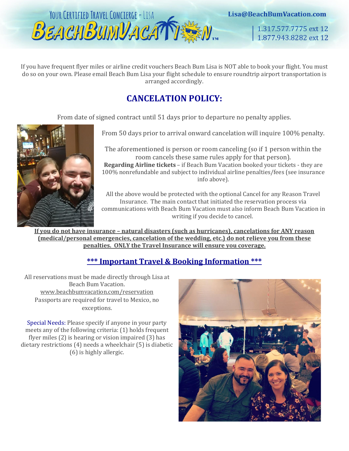

1.317.577.7775 ext 12 1.877.943.8282 ext 12

If you have frequent flyer miles or airline credit vouchers Beach Bum Lisa is NOT able to book your flight. You must do so on your own. Please email Beach Bum Lisa your flight schedule to ensure roundtrip airport transportation is arranged accordingly.

# **CANCELATION POLICY:**

From date of signed contract until 51 days prior to departure no penalty applies.



From 50 days prior to arrival onward cancelation will inquire 100% penalty.

The aforementioned is person or room canceling (so if 1 person within the room cancels these same rules apply for that person). **Regarding Airline tickets** – if Beach Bum Vacation booked your tickets - they are 100% nonrefundable and subject to individual airline penalties/fees (see insurance info above).

All the above would be protected with the optional Cancel for any Reason Travel Insurance. The main contact that initiated the reservation process via communications with Beach Bum Vacation must also inform Beach Bum Vacation in writing if you decide to cancel.

**If you do not have insurance – natural disasters (such as hurricanes), cancelations for ANY reason (medical/personal emergencies, cancelation of the wedding, etc.) do not relieve you from these penalties. ONLY the Travel Insurance will ensure you coverage.**

# **\*\*\* Important Travel & Booking Information \*\*\***

All reservations must be made directly through Lisa at Beach Bum Vacation. [www.beachbumvacation.com/reservation](http://www.beachbumvacation.com/reservation) Passports are required for travel to Mexico, no exceptions.

Special Needs: Please specify if anyone in your party meets any of the following criteria: (1) holds frequent flyer miles (2) is hearing or vision impaired (3) has dietary restrictions (4) needs a wheelchair (5) is diabetic (6) is highly allergic.